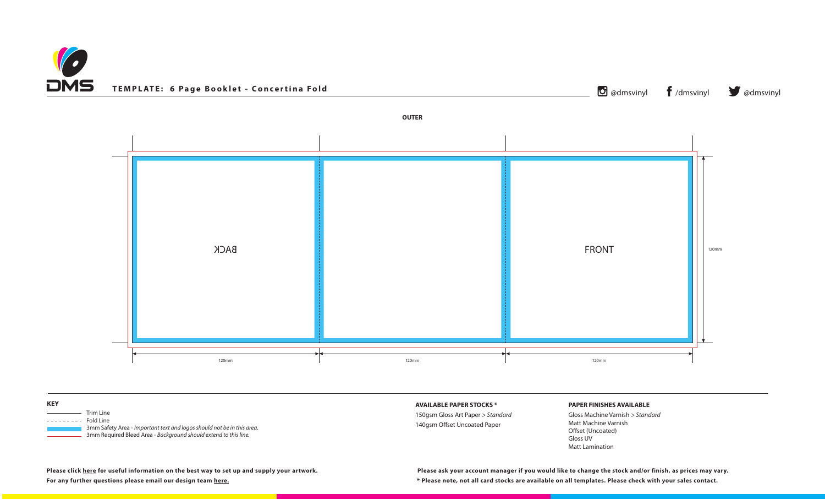## **PAPER FINISHES AVAILABLE**

Gloss Machine Varnish *> Standard* Matt Machine Varnish Offset (Uncoated) Gloss UV Matt Lamination

**Please click [here](https://www.discmanufacturingservices.com/cd/templates#artwork-specifications) for useful information on the best way to set up and supply your artwork.**





| <b>KEY</b>                                                                                                                                                                                                                           | <b>AVAILABLE PAPER STOCKS *</b>                                |
|--------------------------------------------------------------------------------------------------------------------------------------------------------------------------------------------------------------------------------------|----------------------------------------------------------------|
| Trim Line<br><u> The Communication of the Communication</u><br>Fold Line<br>. <u>.</u><br>3mm Safety Area - Important text and logos should not be in this area.<br>3mm Required Bleed Area - Background should extend to this line. | 150gsm Gloss Art Paper > Stand<br>140gsm Offset Uncoated Paper |

**For any further questions please email our design team [here](mailto:graphics%40discmanufacturingservices.com?subject=Template%20Enquiry). \* Please note, not all card stocks are available on all templates. Please check with your sales contact. Please ask your account manager if you would like to change the stock and/or finish, as prices may vary.**

ndard